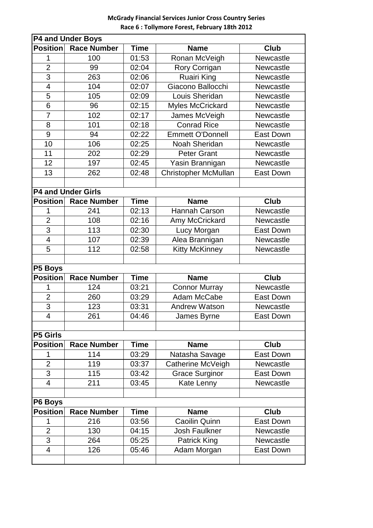## **McGrady Financial Services Junior Cross Country Series Race 6 : Tollymore Forest, February 18th 2012**

| <b>P4 and Under Boys</b> |                           |             |                         |                  |  |  |  |  |
|--------------------------|---------------------------|-------------|-------------------------|------------------|--|--|--|--|
| <b>Position</b>          | <b>Race Number</b>        | <b>Time</b> | <b>Name</b>             | <b>Club</b>      |  |  |  |  |
| 1                        | 100                       | 01:53       | Ronan McVeigh           | Newcastle        |  |  |  |  |
| $\overline{2}$           | 99                        | 02:04       | Rory Corrigan           | Newcastle        |  |  |  |  |
| $\overline{3}$           | 263                       | 02:06       | <b>Ruairi King</b>      | <b>Newcastle</b> |  |  |  |  |
| $\overline{\mathcal{A}}$ | 104                       | 02:07       | Giacono Ballocchi       | Newcastle        |  |  |  |  |
| 5                        | 105                       | 02:09       | Louis Sheridan          | <b>Newcastle</b> |  |  |  |  |
| $\overline{6}$           | 96                        | 02:15       | <b>Myles McCrickard</b> | Newcastle        |  |  |  |  |
| $\overline{7}$           | 102                       | 02:17       | James McVeigh           | Newcastle        |  |  |  |  |
| 8                        | 101                       | 02:18       | <b>Conrad Rice</b>      | Newcastle        |  |  |  |  |
| 9                        | 94                        | 02:22       | <b>Emmett O'Donnell</b> | <b>East Down</b> |  |  |  |  |
| 10                       | 106                       | 02:25       | Noah Sheridan           | Newcastle        |  |  |  |  |
| 11                       | 202                       | 02:29       | <b>Peter Grant</b>      | <b>Newcastle</b> |  |  |  |  |
| 12                       | 197                       | 02:45       | Yasin Brannigan         | Newcastle        |  |  |  |  |
| 13                       | 262                       | 02:48       | Christopher McMullan    | <b>East Down</b> |  |  |  |  |
|                          |                           |             |                         |                  |  |  |  |  |
|                          | <b>P4 and Under Girls</b> |             |                         |                  |  |  |  |  |
| <b>Position</b>          | <b>Race Number</b>        | <b>Time</b> | <b>Name</b>             | <b>Club</b>      |  |  |  |  |
| 1                        | 241                       | 02:13       | Hannah Carson           | <b>Newcastle</b> |  |  |  |  |
| $\overline{2}$           | 108                       | 02:16       | Amy McCrickard          | <b>Newcastle</b> |  |  |  |  |
| 3                        | 113                       | 02:30       | Lucy Morgan             | East Down        |  |  |  |  |
| $\overline{\mathbf{4}}$  | 107                       | 02:39       | Alea Brannigan          | Newcastle        |  |  |  |  |
| 5                        | 112                       | 02:58       | <b>Kitty McKinney</b>   | Newcastle        |  |  |  |  |
|                          |                           |             |                         |                  |  |  |  |  |
| P5 Boys                  |                           |             |                         |                  |  |  |  |  |
| <b>Position</b>          | <b>Race Number</b>        | <b>Time</b> | <b>Name</b>             | <b>Club</b>      |  |  |  |  |
| 1                        | 124                       | 03:21       | <b>Connor Murray</b>    | Newcastle        |  |  |  |  |
| $\overline{2}$           | 260                       | 03:29       | Adam McCabe             | <b>East Down</b> |  |  |  |  |
| 3                        | 123                       | 03:31       | <b>Andrew Watson</b>    | Newcastle        |  |  |  |  |
| $\overline{4}$           | 261                       | 04:46       | James Byrne             | East Down        |  |  |  |  |
|                          |                           |             |                         |                  |  |  |  |  |
| <b>P5 Girls</b>          |                           |             |                         |                  |  |  |  |  |
| <b>Position</b>          | <b>Race Number</b>        | <b>Time</b> | <b>Name</b>             | <b>Club</b>      |  |  |  |  |
| 1                        | 114                       | 03:29       | Natasha Savage          | East Down        |  |  |  |  |
| $\overline{2}$           | 119                       | 03:37       | Catherine McVeigh       | Newcastle        |  |  |  |  |
| 3                        | 115                       | 03:42       | <b>Grace Surginor</b>   | East Down        |  |  |  |  |
| 4                        | 211                       | 03:45       | Kate Lenny              | Newcastle        |  |  |  |  |
|                          |                           |             |                         |                  |  |  |  |  |
| P6 Boys                  |                           |             |                         |                  |  |  |  |  |
| <b>Position</b>          | <b>Race Number</b>        | <b>Time</b> | <b>Name</b>             | <b>Club</b>      |  |  |  |  |
| 1                        | 216                       | 03:56       | <b>Caoilin Quinn</b>    | <b>East Down</b> |  |  |  |  |
| $\overline{2}$           | 130                       | 04:15       | <b>Josh Faulkner</b>    | Newcastle        |  |  |  |  |
| 3                        | 264                       | 05:25       | <b>Patrick King</b>     | Newcastle        |  |  |  |  |
| 4                        | 126                       | 05:46       | Adam Morgan             | East Down        |  |  |  |  |
|                          |                           |             |                         |                  |  |  |  |  |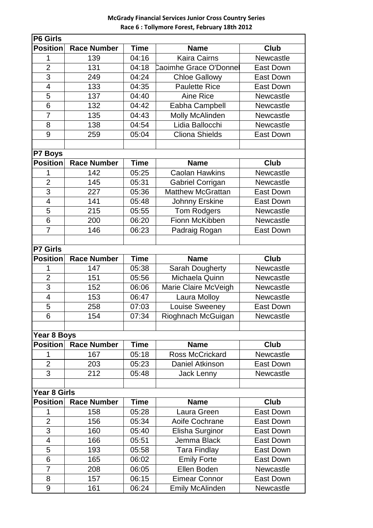## **McGrady Financial Services Junior Cross Country Series Race 6 : Tollymore Forest, February 18th 2012**

| <b>P6 Girls</b>          |                    |             |                          |                  |  |  |  |  |
|--------------------------|--------------------|-------------|--------------------------|------------------|--|--|--|--|
| <b>Position</b>          | <b>Race Number</b> | <b>Time</b> | <b>Name</b>              | Club             |  |  |  |  |
| 1                        | 139                | 04:16       | <b>Kaira Cairns</b>      | Newcastle        |  |  |  |  |
| $\overline{2}$           | 131                | 04:18       | Caoimhe Grace O'Donnel   | <b>East Down</b> |  |  |  |  |
| 3                        | 249                | 04:24       | <b>Chloe Gallowy</b>     | <b>East Down</b> |  |  |  |  |
| $\overline{\mathcal{A}}$ | 133                | 04:35       | <b>Paulette Rice</b>     | <b>East Down</b> |  |  |  |  |
| 5                        | 137                | 04:40       | Aine Rice                | Newcastle        |  |  |  |  |
| 6                        | 132                | 04:42       | Eabha Campbell           | Newcastle        |  |  |  |  |
| $\overline{7}$           | 135                | 04:43       | <b>Molly McAlinden</b>   | Newcastle        |  |  |  |  |
| 8                        | 138                | 04:54       | Lidia Ballocchi          | Newcastle        |  |  |  |  |
| 9                        | 259                | 05:04       | <b>Cliona Shields</b>    | <b>East Down</b> |  |  |  |  |
|                          |                    |             |                          |                  |  |  |  |  |
| P7 Boys                  |                    |             |                          |                  |  |  |  |  |
| <b>Position</b>          | <b>Race Number</b> | <b>Time</b> | <b>Name</b>              | <b>Club</b>      |  |  |  |  |
| 1                        | 142                | 05:25       | <b>Caolan Hawkins</b>    | Newcastle        |  |  |  |  |
| $\overline{2}$           | 145                | 05:31       | <b>Gabriel Corrigan</b>  | Newcastle        |  |  |  |  |
| $\overline{3}$           | 227                | 05:36       | <b>Matthew McGrattan</b> |                  |  |  |  |  |
|                          |                    |             |                          | <b>East Down</b> |  |  |  |  |
| $\overline{\mathcal{A}}$ | 141                | 05:48       | Johnny Erskine           | <b>East Down</b> |  |  |  |  |
| 5                        | 215                | 05:55       | <b>Tom Rodgers</b>       | Newcastle        |  |  |  |  |
| 6                        | 200                | 06:20       | Fionn McKibben           | <b>Newcastle</b> |  |  |  |  |
| $\overline{7}$           | 146                | 06:23       | Padraig Rogan            | <b>East Down</b> |  |  |  |  |
|                          |                    |             |                          |                  |  |  |  |  |
| <b>P7 Girls</b>          |                    |             |                          |                  |  |  |  |  |
| <b>Position</b>          | <b>Race Number</b> | <b>Time</b> | <b>Name</b>              | Club             |  |  |  |  |
| 1                        | 147                | 05:38       | <b>Sarah Dougherty</b>   | Newcastle        |  |  |  |  |
| $\overline{2}$           | 151                | 05:56       | Michaela Quinn           | Newcastle        |  |  |  |  |
| 3                        | 152                | 06:06       | Marie Claire McVeigh     | Newcastle        |  |  |  |  |
| $\overline{\mathbf{4}}$  | 153                | 06:47       | Laura Molloy             | Newcastle        |  |  |  |  |
| 5                        | 258                | 07:03       | <b>Louise Sweeney</b>    | <b>East Down</b> |  |  |  |  |
| 6                        | 154                | 07:34       | Rioghnach McGuigan       | Newcastle        |  |  |  |  |
|                          |                    |             |                          |                  |  |  |  |  |
| Year 8 Boys              |                    |             |                          |                  |  |  |  |  |
| <b>Position</b>          | <b>Race Number</b> | <b>Time</b> | <b>Name</b>              | <b>Club</b>      |  |  |  |  |
| 1                        | 167                | 05:18       | Ross McCrickard          | Newcastle        |  |  |  |  |
| $\overline{2}$           | 203                | 05:23       | Daniel Atkinson          | East Down        |  |  |  |  |
| 3                        | 212                | 05:48       | Jack Lenny               | Newcastle        |  |  |  |  |
|                          |                    |             |                          |                  |  |  |  |  |
| <b>Year 8 Girls</b>      |                    |             |                          |                  |  |  |  |  |
| <b>Position</b>          | <b>Race Number</b> | <b>Time</b> | <b>Name</b>              | <b>Club</b>      |  |  |  |  |
| 1                        | 158                | 05:28       | Laura Green              | <b>East Down</b> |  |  |  |  |
| $\overline{2}$           | 156                | 05:34       | Aoife Cochrane           | East Down        |  |  |  |  |
| 3                        | 160                | 05:40       | Elisha Surginor          | <b>East Down</b> |  |  |  |  |
| 4                        | 166                | 05:51       | Jemma Black              | <b>East Down</b> |  |  |  |  |
| 5                        | 193                | 05:58       | <b>Tara Findlay</b>      | <b>East Down</b> |  |  |  |  |
| 6                        | 165                | 06:02       | <b>Emily Forte</b>       | East Down        |  |  |  |  |
| $\overline{7}$           | 208                | 06:05       | Ellen Boden              | Newcastle        |  |  |  |  |
| 8                        | 157                | 06:15       | <b>Eimear Connor</b>     | East Down        |  |  |  |  |
| $\boldsymbol{9}$         | 161                | 06:24       | <b>Emily McAlinden</b>   | Newcastle        |  |  |  |  |